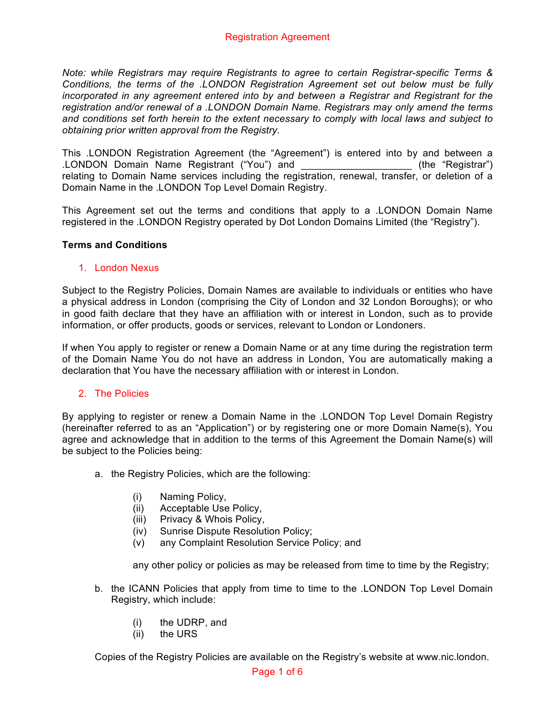*Note: while Registrars may require Registrants to agree to certain Registrar-specific Terms & Conditions, the terms of the .LONDON Registration Agreement set out below must be fully incorporated in any agreement entered into by and between a Registrar and Registrant for the registration and/or renewal of a .LONDON Domain Name. Registrars may only amend the terms and conditions set forth herein to the extent necessary to comply with local laws and subject to obtaining prior written approval from the Registry.*

This .LONDON Registration Agreement (the "Agreement") is entered into by and between a .LONDON Domain Name Registrant ("You") and \_\_\_\_\_\_\_\_\_\_\_\_\_\_\_\_\_\_\_\_ (the "Registrar") relating to Domain Name services including the registration, renewal, transfer, or deletion of a Domain Name in the .LONDON Top Level Domain Registry.

This Agreement set out the terms and conditions that apply to a .LONDON Domain Name registered in the .LONDON Registry operated by Dot London Domains Limited (the "Registry").

## **Terms and Conditions**

# 1. London Nexus

Subject to the Registry Policies, Domain Names are available to individuals or entities who have a physical address in London (comprising the City of London and 32 London Boroughs); or who in good faith declare that they have an affiliation with or interest in London, such as to provide information, or offer products, goods or services, relevant to London or Londoners.

If when You apply to register or renew a Domain Name or at any time during the registration term of the Domain Name You do not have an address in London, You are automatically making a declaration that You have the necessary affiliation with or interest in London.

## 2. The Policies

By applying to register or renew a Domain Name in the .LONDON Top Level Domain Registry (hereinafter referred to as an "Application") or by registering one or more Domain Name(s), You agree and acknowledge that in addition to the terms of this Agreement the Domain Name(s) will be subject to the Policies being:

- a. the Registry Policies, which are the following:
	- (i) Naming Policy,
	- (ii) Acceptable Use Policy,
	- (iii) Privacy & Whois Policy,
	- (iv) Sunrise Dispute Resolution Policy;
	- (v) any Complaint Resolution Service Policy; and

any other policy or policies as may be released from time to time by the Registry;

- b. the ICANN Policies that apply from time to time to the .LONDON Top Level Domain Registry, which include:
	- (i) the UDRP, and
	- (ii) the URS

Copies of the Registry Policies are available on the Registry's website at www.nic.london.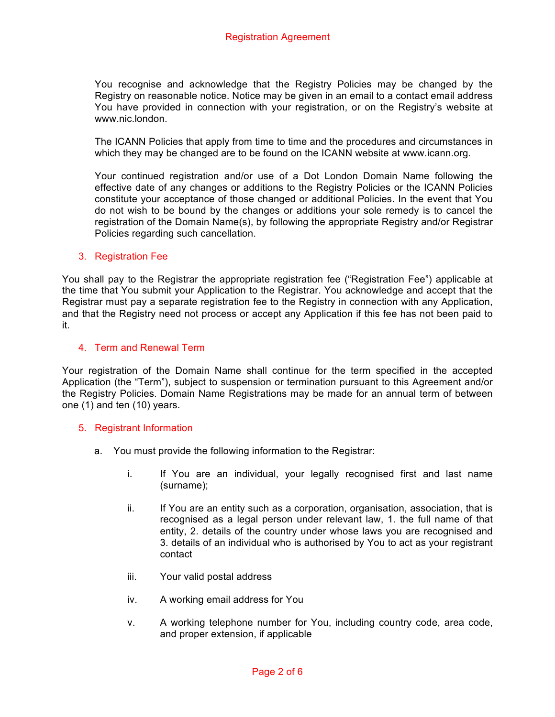You recognise and acknowledge that the Registry Policies may be changed by the Registry on reasonable notice. Notice may be given in an email to a contact email address You have provided in connection with your registration, or on the Registry's website at www.nic.london.

The ICANN Policies that apply from time to time and the procedures and circumstances in which they may be changed are to be found on the ICANN website at www.icann.org.

Your continued registration and/or use of a Dot London Domain Name following the effective date of any changes or additions to the Registry Policies or the ICANN Policies constitute your acceptance of those changed or additional Policies. In the event that You do not wish to be bound by the changes or additions your sole remedy is to cancel the registration of the Domain Name(s), by following the appropriate Registry and/or Registrar Policies regarding such cancellation.

# 3. Registration Fee

You shall pay to the Registrar the appropriate registration fee ("Registration Fee") applicable at the time that You submit your Application to the Registrar. You acknowledge and accept that the Registrar must pay a separate registration fee to the Registry in connection with any Application, and that the Registry need not process or accept any Application if this fee has not been paid to it.

## 4. Term and Renewal Term

Your registration of the Domain Name shall continue for the term specified in the accepted Application (the "Term"), subject to suspension or termination pursuant to this Agreement and/or the Registry Policies. Domain Name Registrations may be made for an annual term of between one (1) and ten (10) years.

## 5. Registrant Information

- a. You must provide the following information to the Registrar:
	- i. If You are an individual, your legally recognised first and last name (surname);
	- ii. If You are an entity such as a corporation, organisation, association, that is recognised as a legal person under relevant law, 1. the full name of that entity, 2. details of the country under whose laws you are recognised and 3. details of an individual who is authorised by You to act as your registrant contact
	- iii. Your valid postal address
	- iv. A working email address for You
	- v. A working telephone number for You, including country code, area code, and proper extension, if applicable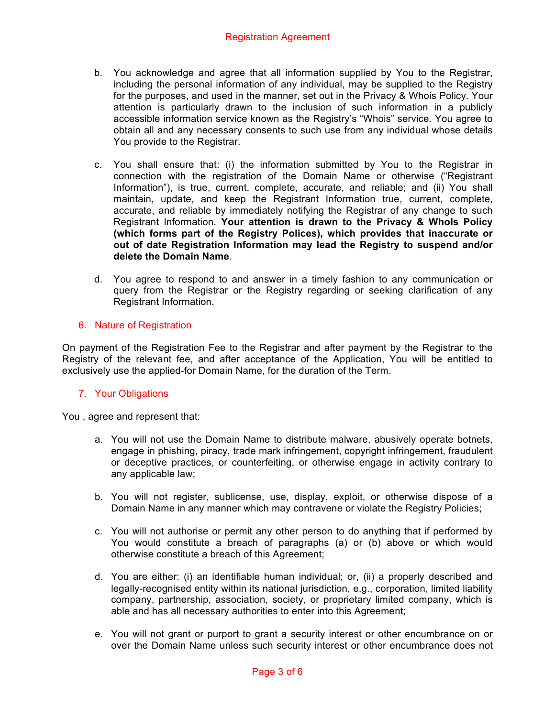- b. You acknowledge and agree that all information supplied by You to the Registrar, including the personal information of any individual, may be supplied to the Registry for the purposes, and used in the manner, set out in the Privacy & Whois Policy. Your attention is particularly drawn to the inclusion of such information in a publicly accessible information service known as the Registry's "Whois" service. You agree to obtain all and any necessary consents to such use from any individual whose details You provide to the Registrar.
- c. You shall ensure that: (i) the information submitted by You to the Registrar in connection with the registration of the Domain Name or otherwise ("Registrant Information"), is true, current, complete, accurate, and reliable; and (ii) You shall maintain, update, and keep the Registrant Information true, current, complete, accurate, and reliable by immediately notifying the Registrar of any change to such Registrant Information. **Your attention is drawn to the Privacy & WhoIs Policy (which forms part of the Registry Polices), which provides that inaccurate or out of date Registration Information may lead the Registry to suspend and/or delete the Domain Name**.
- d. You agree to respond to and answer in a timely fashion to any communication or query from the Registrar or the Registry regarding or seeking clarification of any Registrant Information.

# 6. Nature of Registration

On payment of the Registration Fee to the Registrar and after payment by the Registrar to the Registry of the relevant fee, and after acceptance of the Application, You will be entitled to exclusively use the applied-for Domain Name, for the duration of the Term.

# 7. Your Obligations

You , agree and represent that:

- a. You will not use the Domain Name to distribute malware, abusively operate botnets, engage in phishing, piracy, trade mark infringement, copyright infringement, fraudulent or deceptive practices, or counterfeiting, or otherwise engage in activity contrary to any applicable law;
- b. You will not register, sublicense, use, display, exploit, or otherwise dispose of a Domain Name in any manner which may contravene or violate the Registry Policies;
- c. You will not authorise or permit any other person to do anything that if performed by You would constitute a breach of paragraphs (a) or (b) above or which would otherwise constitute a breach of this Agreement;
- d. You are either: (i) an identifiable human individual; or, (ii) a properly described and legally-recognised entity within its national jurisdiction, e.g., corporation, limited liability company, partnership, association, society, or proprietary limited company, which is able and has all necessary authorities to enter into this Agreement;
- e. You will not grant or purport to grant a security interest or other encumbrance on or over the Domain Name unless such security interest or other encumbrance does not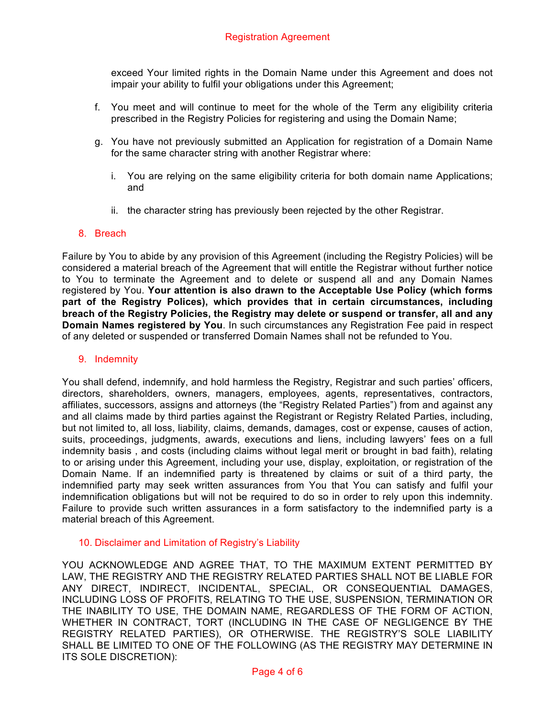exceed Your limited rights in the Domain Name under this Agreement and does not impair your ability to fulfil your obligations under this Agreement;

- f. You meet and will continue to meet for the whole of the Term any eligibility criteria prescribed in the Registry Policies for registering and using the Domain Name;
- g. You have not previously submitted an Application for registration of a Domain Name for the same character string with another Registrar where:
	- i. You are relying on the same eligibility criteria for both domain name Applications; and
	- ii. the character string has previously been rejected by the other Registrar.

## 8. Breach

Failure by You to abide by any provision of this Agreement (including the Registry Policies) will be considered a material breach of the Agreement that will entitle the Registrar without further notice to You to terminate the Agreement and to delete or suspend all and any Domain Names registered by You. **Your attention is also drawn to the Acceptable Use Policy (which forms part of the Registry Polices), which provides that in certain circumstances, including breach of the Registry Policies, the Registry may delete or suspend or transfer, all and any Domain Names registered by You**. In such circumstances any Registration Fee paid in respect of any deleted or suspended or transferred Domain Names shall not be refunded to You.

# 9. Indemnity

You shall defend, indemnify, and hold harmless the Registry, Registrar and such parties' officers, directors, shareholders, owners, managers, employees, agents, representatives, contractors, affiliates, successors, assigns and attorneys (the "Registry Related Parties") from and against any and all claims made by third parties against the Registrant or Registry Related Parties, including, but not limited to, all loss, liability, claims, demands, damages, cost or expense, causes of action, suits, proceedings, judgments, awards, executions and liens, including lawyers' fees on a full indemnity basis , and costs (including claims without legal merit or brought in bad faith), relating to or arising under this Agreement, including your use, display, exploitation, or registration of the Domain Name. If an indemnified party is threatened by claims or suit of a third party, the indemnified party may seek written assurances from You that You can satisfy and fulfil your indemnification obligations but will not be required to do so in order to rely upon this indemnity. Failure to provide such written assurances in a form satisfactory to the indemnified party is a material breach of this Agreement.

# 10. Disclaimer and Limitation of Registry's Liability

YOU ACKNOWLEDGE AND AGREE THAT, TO THE MAXIMUM EXTENT PERMITTED BY LAW, THE REGISTRY AND THE REGISTRY RELATED PARTIES SHALL NOT BE LIABLE FOR ANY DIRECT, INDIRECT, INCIDENTAL, SPECIAL, OR CONSEQUENTIAL DAMAGES, INCLUDING LOSS OF PROFITS, RELATING TO THE USE, SUSPENSION, TERMINATION OR THE INABILITY TO USE, THE DOMAIN NAME, REGARDLESS OF THE FORM OF ACTION, WHETHER IN CONTRACT, TORT (INCLUDING IN THE CASE OF NEGLIGENCE BY THE REGISTRY RELATED PARTIES), OR OTHERWISE. THE REGISTRY'S SOLE LIABILITY SHALL BE LIMITED TO ONE OF THE FOLLOWING (AS THE REGISTRY MAY DETERMINE IN ITS SOLE DISCRETION):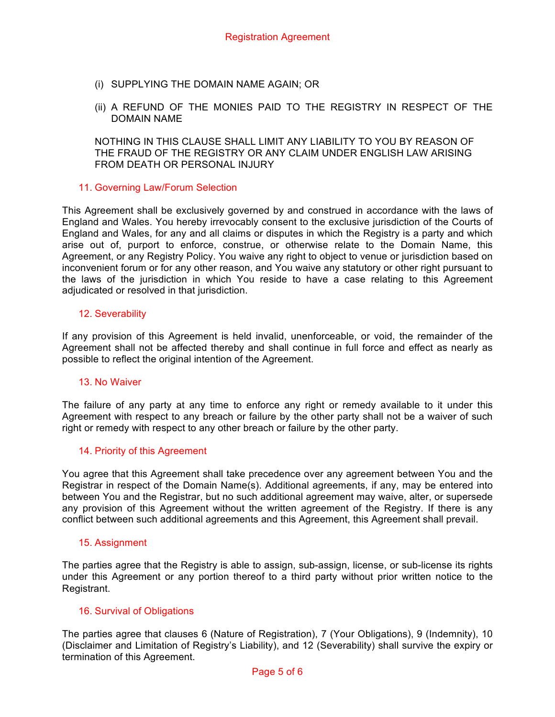- (i) SUPPLYING THE DOMAIN NAME AGAIN; OR
- (ii) A REFUND OF THE MONIES PAID TO THE REGISTRY IN RESPECT OF THE DOMAIN NAME

NOTHING IN THIS CLAUSE SHALL LIMIT ANY LIABILITY TO YOU BY REASON OF THE FRAUD OF THE REGISTRY OR ANY CLAIM UNDER ENGLISH LAW ARISING FROM DEATH OR PERSONAL INJURY

# 11. Governing Law/Forum Selection

This Agreement shall be exclusively governed by and construed in accordance with the laws of England and Wales. You hereby irrevocably consent to the exclusive jurisdiction of the Courts of England and Wales, for any and all claims or disputes in which the Registry is a party and which arise out of, purport to enforce, construe, or otherwise relate to the Domain Name, this Agreement, or any Registry Policy. You waive any right to object to venue or jurisdiction based on inconvenient forum or for any other reason, and You waive any statutory or other right pursuant to the laws of the jurisdiction in which You reside to have a case relating to this Agreement adjudicated or resolved in that jurisdiction.

# 12. Severability

If any provision of this Agreement is held invalid, unenforceable, or void, the remainder of the Agreement shall not be affected thereby and shall continue in full force and effect as nearly as possible to reflect the original intention of the Agreement.

## 13. No Waiver

The failure of any party at any time to enforce any right or remedy available to it under this Agreement with respect to any breach or failure by the other party shall not be a waiver of such right or remedy with respect to any other breach or failure by the other party.

## 14. Priority of this Agreement

You agree that this Agreement shall take precedence over any agreement between You and the Registrar in respect of the Domain Name(s). Additional agreements, if any, may be entered into between You and the Registrar, but no such additional agreement may waive, alter, or supersede any provision of this Agreement without the written agreement of the Registry. If there is any conflict between such additional agreements and this Agreement, this Agreement shall prevail.

## 15. Assignment

The parties agree that the Registry is able to assign, sub-assign, license, or sub-license its rights under this Agreement or any portion thereof to a third party without prior written notice to the Registrant.

## 16. Survival of Obligations

The parties agree that clauses 6 (Nature of Registration), 7 (Your Obligations), 9 (Indemnity), 10 (Disclaimer and Limitation of Registry's Liability), and 12 (Severability) shall survive the expiry or termination of this Agreement.